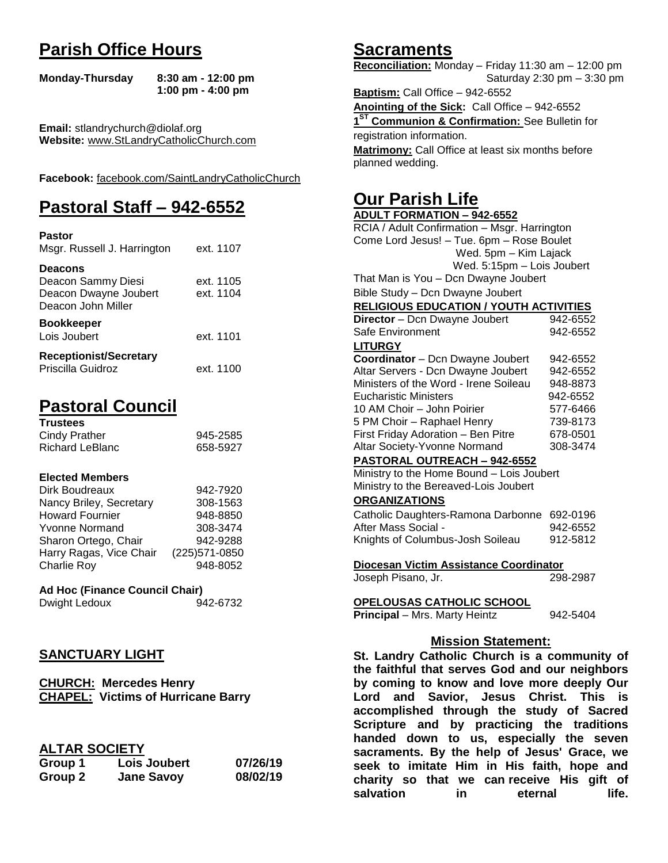# **Parish Office Hours**

```
Monday-Thursday 8:30 am - 12:00 pm
       1:00 pm - 4:00 pm
```
**Email:** stlandrychurch@diolaf.org **Website:** [www.StLandryCatholicChurch.com](http://www.stlandrycatholicchurch.com/)

**Facebook:** [facebook.com/SaintLandryCatholicChurch](http://facebook.com/SaintLandryCatholicChurch)

# **Pastoral Staff – 942-6552**

| <b>Pastor</b><br>Msgr. Russell J. Harrington                                        | ext. 1107              |
|-------------------------------------------------------------------------------------|------------------------|
| <b>Deacons</b><br>Deacon Sammy Diesi<br>Deacon Dwayne Joubert<br>Deacon John Miller | ext. 1105<br>ext. 1104 |
| <b>Bookkeeper</b><br>Lois Joubert                                                   | ext. 1101              |
| <b>Receptionist/Secretary</b><br>Priscilla Guidroz                                  | ext. 1100              |

# **Pastoral Council**

| <b>Trustees</b> |          |
|-----------------|----------|
| Cindy Prather   | 945-2585 |
| Richard LeBlanc | 658-5927 |

#### **Elected Members**

| Dirk Boudreaux          | 942-7920       |
|-------------------------|----------------|
| Nancy Briley, Secretary | 308-1563       |
| <b>Howard Fournier</b>  | 948-8850       |
| <b>Yvonne Normand</b>   | 308-3474       |
| Sharon Ortego, Chair    | 942-9288       |
| Harry Ragas, Vice Chair | (225) 571-0850 |
| <b>Charlie Roy</b>      | 948-8052       |

# **Ad Hoc (Finance Council Chair)**

Dwight Ledoux 942-6732

# **SANCTUARY LIGHT**

**CHURCH: Mercedes Henry CHAPEL: Victims of Hurricane Barry**

## **ALTAR SOCIETY**

| Group 1 | Lois Joubert      | 07/26/19 |
|---------|-------------------|----------|
| Group 2 | <b>Jane Savoy</b> | 08/02/19 |

# **Sacraments**

**Reconciliation:** Monday – Friday 11:30 am – 12:00 pm Saturday 2:30 pm – 3:30 pm

**Baptism:** Call Office – 942-6552 **Anointing of the Sick:** Call Office – 942-6552 **1 ST Communion & Confirmation:** See Bulletin for registration information. **Matrimony:** Call Office at least six months before planned wedding.

# **Our Parish Life**

| <b>ADULT FORMATION - 942-6552</b>              |          |
|------------------------------------------------|----------|
| RCIA / Adult Confirmation - Msgr. Harrington   |          |
| Come Lord Jesus! - Tue. 6pm - Rose Boulet      |          |
| Wed. 5pm - Kim Lajack                          |          |
| Wed. 5:15pm - Lois Joubert                     |          |
| That Man is You - Dcn Dwayne Joubert           |          |
| Bible Study - Dcn Dwayne Joubert               |          |
|                                                |          |
| <b>RELIGIOUS EDUCATION / YOUTH ACTIVITIES</b>  |          |
| Director - Dcn Dwayne Joubert                  | 942-6552 |
| Safe Environment                               | 942-6552 |
| <b>LITURGY</b>                                 |          |
| Coordinator - Dcn Dwayne Joubert               | 942-6552 |
| Altar Servers - Dcn Dwayne Joubert             | 942-6552 |
| Ministers of the Word - Irene Soileau          | 948-8873 |
| <b>Eucharistic Ministers</b>                   | 942-6552 |
| 10 AM Choir - John Poirier                     | 577-6466 |
| 5 PM Choir - Raphael Henry                     | 739-8173 |
| First Friday Adoration - Ben Pitre             | 678-0501 |
| Altar Society-Yvonne Normand                   | 308-3474 |
| <b>PASTORAL OUTREACH - 942-6552</b>            |          |
| Ministry to the Home Bound - Lois Joubert      |          |
| Ministry to the Bereaved-Lois Joubert          |          |
| <b>ORGANIZATIONS</b>                           |          |
| Catholic Daughters-Ramona Darbonne 692-0196    |          |
| After Mass Social -                            | 942-6552 |
| Knights of Columbus-Josh Soileau               | 912-5812 |
|                                                |          |
| Diocesan Victim Assistance Coordinator         |          |
| Joseph Pisano, Jr.                             | 298-2987 |
|                                                |          |
| <u>OPELOUSAS CATHOLIC SCHOOL</u>               |          |
| Principal - Mrs. Marty Heintz                  | 942-5404 |
|                                                |          |
| <b>Mission Statement:</b>                      |          |
| St. Landry Catholic Church is a community of   |          |
| the faithful that serves God and our neighbors |          |
| by coming to know and love more deeply Our     |          |
|                                                |          |

**the faithful that serves God and our neighbors by coming to know and love more deeply Our Lord and Savior, Jesus Christ. This is accomplished through the study of Sacred Scripture and by practicing the traditions handed down to us, especially the seven sacraments. By the help of Jesus' Grace, we seek to imitate Him in His faith, hope and charity so that we can receive His gift of salvation in** eternal life.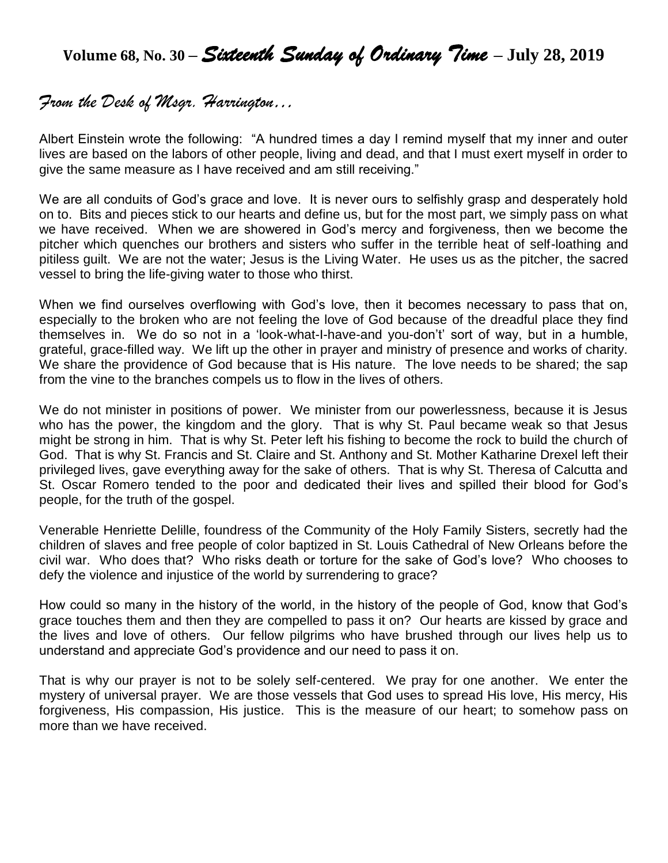# **Volume 68, No. 30 –** *Sixteenth Sunday of Ordinary Time* **– July 28, 2019**

# *From the Desk of Msgr. Harrington…*

Albert Einstein wrote the following: "A hundred times a day I remind myself that my inner and outer lives are based on the labors of other people, living and dead, and that I must exert myself in order to give the same measure as I have received and am still receiving."

We are all conduits of God's grace and love. It is never ours to selfishly grasp and desperately hold on to. Bits and pieces stick to our hearts and define us, but for the most part, we simply pass on what we have received. When we are showered in God's mercy and forgiveness, then we become the pitcher which quenches our brothers and sisters who suffer in the terrible heat of self-loathing and pitiless guilt. We are not the water; Jesus is the Living Water. He uses us as the pitcher, the sacred vessel to bring the life-giving water to those who thirst.

When we find ourselves overflowing with God's love, then it becomes necessary to pass that on, especially to the broken who are not feeling the love of God because of the dreadful place they find themselves in. We do so not in a 'look-what-I-have-and you-don't' sort of way, but in a humble, grateful, grace-filled way. We lift up the other in prayer and ministry of presence and works of charity. We share the providence of God because that is His nature. The love needs to be shared; the sap from the vine to the branches compels us to flow in the lives of others.

We do not minister in positions of power. We minister from our powerlessness, because it is Jesus who has the power, the kingdom and the glory. That is why St. Paul became weak so that Jesus might be strong in him. That is why St. Peter left his fishing to become the rock to build the church of God. That is why St. Francis and St. Claire and St. Anthony and St. Mother Katharine Drexel left their privileged lives, gave everything away for the sake of others. That is why St. Theresa of Calcutta and St. Oscar Romero tended to the poor and dedicated their lives and spilled their blood for God's people, for the truth of the gospel.

Venerable Henriette Delille, foundress of the Community of the Holy Family Sisters, secretly had the children of slaves and free people of color baptized in St. Louis Cathedral of New Orleans before the civil war. Who does that? Who risks death or torture for the sake of God's love? Who chooses to defy the violence and injustice of the world by surrendering to grace?

How could so many in the history of the world, in the history of the people of God, know that God's grace touches them and then they are compelled to pass it on? Our hearts are kissed by grace and the lives and love of others. Our fellow pilgrims who have brushed through our lives help us to understand and appreciate God's providence and our need to pass it on.

That is why our prayer is not to be solely self-centered. We pray for one another. We enter the mystery of universal prayer. We are those vessels that God uses to spread His love, His mercy, His forgiveness, His compassion, His justice. This is the measure of our heart; to somehow pass on more than we have received.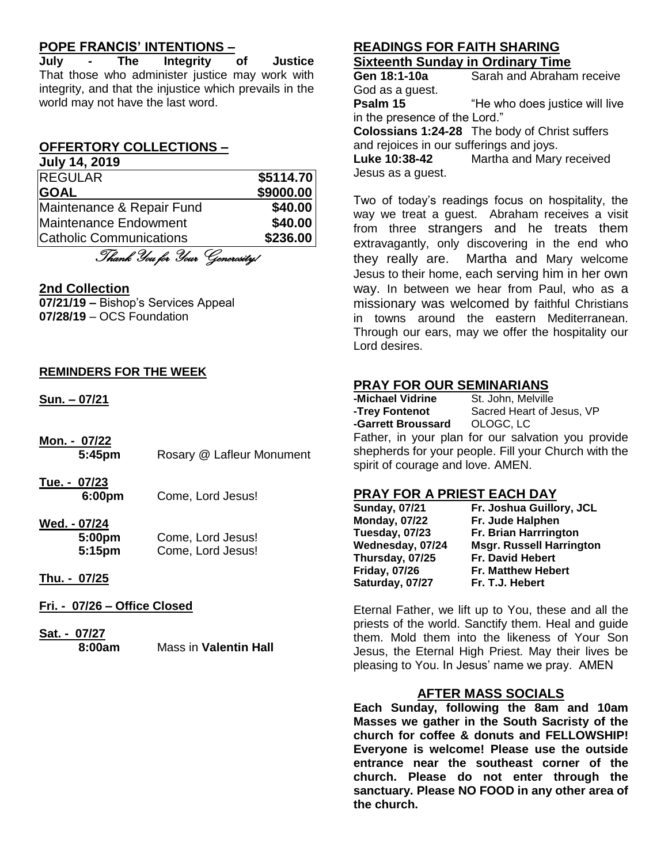# **POPE FRANCIS' INTENTIONS –**

**July - The Integrity of Justice** That those who administer justice may work with integrity, and that the injustice which prevails in the world may not have the last word.

# **OFFERTORY COLLECTIONS –**

| <b>July 14, 2019</b>      |           |
|---------------------------|-----------|
| <b>REGULAR</b>            | \$5114.70 |
| <b>GOAL</b>               | \$9000.00 |
| Maintenance & Repair Fund | \$40.00   |
| Maintenance Endowment     | \$40.00   |
| Catholic Communications   | \$236.00  |

Thank You for Your Generosity!

#### **2nd Collection**

**07/21/19 –** Bishop's Services Appeal **07/28/19** – OCS Foundation

#### **REMINDERS FOR THE WEEK**

**Sun. – 07/21**

- **Mon. - 07/22 5:45pm** Rosary @ Lafleur Monument
- **Tue. - 07/23 6:00pm** Come, Lord Jesus!

#### **Wed. - 07/24**

| 5:00pm | Come, Lord Jesus! |
|--------|-------------------|
| 5:15pm | Come, Lord Jesus! |

#### **Thu. - 07/25**

- **Fri. - 07/26 – Office Closed**
- **Sat. - 07/27 8:00am** Mass in **Valentin Hall**

# **READINGS FOR FAITH SHARING Sixteenth Sunday in Ordinary Time**

**Gen 18:1-10a** Sarah and Abraham receive God as a guest. **Psalm 15** "He who does justice will live in the presence of the Lord." **Colossians 1:24-28** The body of Christ suffers and rejoices in our sufferings and joys. **Luke 10:38-42** Martha and Mary received Jesus as a guest.

Two of today's readings focus on hospitality, the way we treat a guest. Abraham receives a visit from three strangers and he treats them extravagantly, only discovering in the end who they really are. Martha and Mary welcome Jesus to their home, each serving him in her own way. In between we hear from Paul, who as a missionary was welcomed by faithful Christians in towns around the eastern Mediterranean. Through our ears, may we offer the hospitality our Lord desires.

#### **PRAY FOR OUR SEMINARIANS**

| -Michael Vidrine                  | St. John, Melville                                   |
|-----------------------------------|------------------------------------------------------|
| -Trey Fontenot                    | Sacred Heart of Jesus, VP                            |
| -Garrett Broussard  OLOGC, LC     |                                                      |
|                                   | Father, in your plan for our salvation you provide   |
|                                   | shepherds for your people. Fill your Church with the |
| spirit of courage and love. AMEN. |                                                      |

#### **PRAY FOR A PRIEST EACH DAY**

| <b>Sunday, 07/21</b> | Fr. Joshua Guillory, JCL        |
|----------------------|---------------------------------|
| <b>Monday, 07/22</b> | Fr. Jude Halphen                |
| Tuesday, 07/23       | Fr. Brian Harrrington           |
| Wednesday, 07/24     | <b>Msgr. Russell Harrington</b> |
| Thursday, 07/25      | Fr. David Hebert                |
| <b>Friday, 07/26</b> | <b>Fr. Matthew Hebert</b>       |
| Saturday, 07/27      | Fr. T.J. Hebert                 |

Eternal Father, we lift up to You, these and all the priests of the world. Sanctify them. Heal and guide them. Mold them into the likeness of Your Son Jesus, the Eternal High Priest. May their lives be pleasing to You. In Jesus' name we pray. AMEN

#### **AFTER MASS SOCIALS**

**Each Sunday, following the 8am and 10am Masses we gather in the South Sacristy of the church for coffee & donuts and FELLOWSHIP! Everyone is welcome! Please use the outside entrance near the southeast corner of the church. Please do not enter through the sanctuary. Please NO FOOD in any other area of the church.**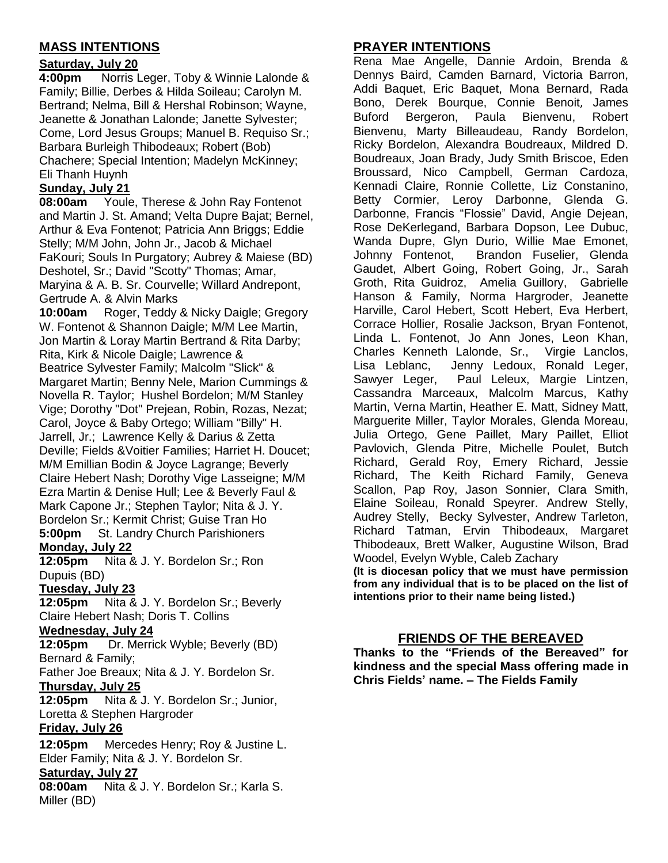# **MASS INTENTIONS**

## **Saturday, July 20**

**4:00pm** Norris Leger, Toby & Winnie Lalonde & Family; Billie, Derbes & Hilda Soileau; Carolyn M. Bertrand; Nelma, Bill & Hershal Robinson; Wayne, Jeanette & Jonathan Lalonde; Janette Sylvester; Come, Lord Jesus Groups; Manuel B. Requiso Sr.; Barbara Burleigh Thibodeaux; Robert (Bob) Chachere; Special Intention; Madelyn McKinney; Eli Thanh Huynh

# **Sunday, July 21**

**08:00am** Youle, Therese & John Ray Fontenot and Martin J. St. Amand; Velta Dupre Bajat; Bernel, Arthur & Eva Fontenot: Patricia Ann Briggs: Eddie Stelly; M/M John, John Jr., Jacob & Michael FaKouri; Souls In Purgatory; Aubrey & Maiese (BD) Deshotel, Sr.; David "Scotty" Thomas; Amar, Maryina & A. B. Sr. Courvelle; Willard Andrepont, Gertrude A. & Alvin Marks

**10:00am** Roger, Teddy & Nicky Daigle; Gregory W. Fontenot & Shannon Daigle; M/M Lee Martin, Jon Martin & Loray Martin Bertrand & Rita Darby; Rita, Kirk & Nicole Daigle; Lawrence & Beatrice Sylvester Family; Malcolm "Slick" & Margaret Martin; Benny Nele, Marion Cummings & Novella R. Taylor; Hushel Bordelon; M/M Stanley Vige; Dorothy "Dot" Prejean, Robin, Rozas, Nezat; Carol, Joyce & Baby Ortego; William "Billy" H. Jarrell, Jr.; Lawrence Kelly & Darius & Zetta Deville; Fields &Voitier Families; Harriet H. Doucet; M/M Emillian Bodin & Joyce Lagrange; Beverly Claire Hebert Nash; Dorothy Vige Lasseigne; M/M Ezra Martin & Denise Hull; Lee & Beverly Faul & Mark Capone Jr.; Stephen Taylor; Nita & J. Y. Bordelon Sr.; Kermit Christ; Guise Tran Ho **5:00pm** St. Landry Church Parishioners **Monday, July 22**

**12:05pm** Nita & J. Y. Bordelon Sr.; Ron Dupuis (BD)

## **Tuesday, July 23**

**12:05pm** Nita & J. Y. Bordelon Sr.; Beverly Claire Hebert Nash; Doris T. Collins

#### **Wednesday, July 24**

**12:05pm** Dr. Merrick Wyble; Beverly (BD) Bernard & Family;

Father Joe Breaux; Nita & J. Y. Bordelon Sr. **Thursday, July 25**

**12:05pm** Nita & J. Y. Bordelon Sr.; Junior, Loretta & Stephen Hargroder

## **Friday, July 26**

**12:05pm** Mercedes Henry; Roy & Justine L. Elder Family; Nita & J. Y. Bordelon Sr.

## **Saturday, July 27**

**08:00am** Nita & J. Y. Bordelon Sr.; Karla S. Miller (BD)

# **PRAYER INTENTIONS**

Rena Mae Angelle, Dannie Ardoin, Brenda & Dennys Baird, Camden Barnard, Victoria Barron, Addi Baquet, Eric Baquet, Mona Bernard, Rada Bono, Derek Bourque, Connie Benoit, James Buford Bergeron, Paula Bienvenu, Robert Bienvenu, Marty Billeaudeau, Randy Bordelon, Ricky Bordelon, Alexandra Boudreaux, Mildred D. Boudreaux, Joan Brady, Judy Smith Briscoe, Eden Broussard, Nico Campbell, German Cardoza, Kennadi Claire, Ronnie Collette, Liz Constanino, Betty Cormier, Leroy Darbonne, Glenda G. Darbonne, Francis "Flossie" David, Angie Dejean, Rose DeKerlegand, Barbara Dopson, Lee Dubuc, Wanda Dupre, Glyn Durio, Willie Mae Emonet, Johnny Fontenot, Brandon Fuselier, Glenda Gaudet, Albert Going, Robert Going, Jr., Sarah Groth, Rita Guidroz, Amelia Guillory, Gabrielle Hanson & Family, Norma Hargroder, Jeanette Harville, Carol Hebert, Scott Hebert, Eva Herbert, Corrace Hollier, Rosalie Jackson, Bryan Fontenot, Linda L. Fontenot, Jo Ann Jones, Leon Khan, Charles Kenneth Lalonde, Sr., Virgie Lanclos, Lisa Leblanc, Jenny Ledoux, Ronald Leger, Sawyer Leger, Paul Leleux, Margie Lintzen, Cassandra Marceaux, Malcolm Marcus, Kathy Martin, Verna Martin, Heather E. Matt, Sidney Matt, Marguerite Miller, Taylor Morales, Glenda Moreau, Julia Ortego, Gene Paillet, Mary Paillet, Elliot Pavlovich, Glenda Pitre, Michelle Poulet, Butch Richard, Gerald Roy, Emery Richard, Jessie Richard, The Keith Richard Family, Geneva Scallon, Pap Roy, Jason Sonnier, Clara Smith, Elaine Soileau, Ronald Speyrer. Andrew Stelly, Audrey Stelly, Becky Sylvester, Andrew Tarleton, Richard Tatman, Ervin Thibodeaux, Margaret Thibodeaux, Brett Walker, Augustine Wilson, Brad Woodel, Evelyn Wyble, Caleb Zachary

**(It is diocesan policy that we must have permission from any individual that is to be placed on the list of intentions prior to their name being listed.)**

## **FRIENDS OF THE BEREAVED**

**Thanks to the "Friends of the Bereaved" for kindness and the special Mass offering made in Chris Fields' name. – The Fields Family**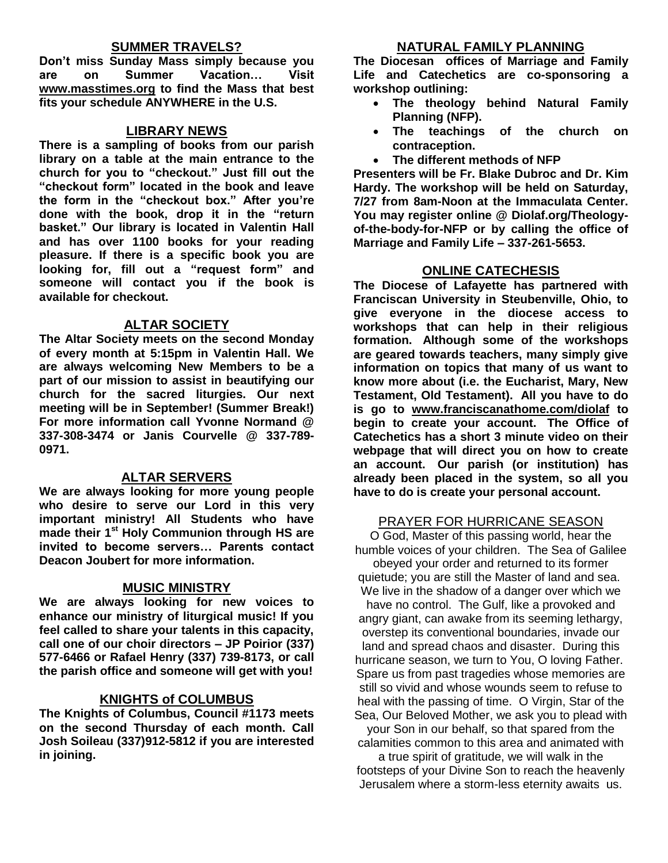#### **SUMMER TRAVELS?**

**Don't miss Sunday Mass simply because you are on Summer Vacation… Visit [www.masstimes.org](http://www.masstimes.org/) to find the Mass that best fits your schedule ANYWHERE in the U.S.**

#### **LIBRARY NEWS**

**There is a sampling of books from our parish library on a table at the main entrance to the church for you to "checkout." Just fill out the "checkout form" located in the book and leave the form in the "checkout box." After you're done with the book, drop it in the "return basket." Our library is located in Valentin Hall and has over 1100 books for your reading pleasure. If there is a specific book you are looking for, fill out a "request form" and someone will contact you if the book is available for checkout.**

#### **ALTAR SOCIETY**

**The Altar Society meets on the second Monday of every month at 5:15pm in Valentin Hall. We are always welcoming New Members to be a part of our mission to assist in beautifying our church for the sacred liturgies. Our next meeting will be in September! (Summer Break!) For more information call Yvonne Normand @ 337-308-3474 or Janis Courvelle @ 337-789- 0971.** 

## **ALTAR SERVERS**

**We are always looking for more young people who desire to serve our Lord in this very important ministry! All Students who have made their 1st Holy Communion through HS are invited to become servers… Parents contact Deacon Joubert for more information.**

#### **MUSIC MINISTRY**

**We are always looking for new voices to enhance our ministry of liturgical music! If you feel called to share your talents in this capacity, call one of our choir directors – JP Poirior (337) 577-6466 or Rafael Henry (337) 739-8173, or call the parish office and someone will get with you!**

#### **KNIGHTS of COLUMBUS**

**The Knights of Columbus, Council #1173 meets on the second Thursday of each month. Call Josh Soileau (337)912-5812 if you are interested in joining.** 

**The Diocesan offices of Marriage and Family Life and Catechetics are co-sponsoring a workshop outlining:**

- **The theology behind Natural Family Planning (NFP).**
- **The teachings of the church on contraception.**
- **The different methods of NFP**

**Presenters will be Fr. Blake Dubroc and Dr. Kim Hardy. The workshop will be held on Saturday, 7/27 from 8am-Noon at the Immaculata Center. You may register online @ Diolaf.org/Theologyof-the-body-for-NFP or by calling the office of Marriage and Family Life – 337-261-5653.**

#### **ONLINE CATECHESIS**

**The Diocese of Lafayette has partnered with Franciscan University in Steubenville, Ohio, to give everyone in the diocese access to workshops that can help in their religious formation. Although some of the workshops are geared towards teachers, many simply give information on topics that many of us want to know more about (i.e. the Eucharist, Mary, New Testament, Old Testament). All you have to do is go to [www.franciscanathome.com/diolaf](http://www.franciscanathome.com/diolaf) to begin to create your account. The Office of Catechetics has a short 3 minute video on their webpage that will direct you on how to create an account. Our parish (or institution) has already been placed in the system, so all you have to do is create your personal account.**

## PRAYER FOR HURRICANE SEASON

O God, Master of this passing world, hear the humble voices of your children. The Sea of Galilee obeyed your order and returned to its former quietude; you are still the Master of land and sea. We live in the shadow of a danger over which we have no control. The Gulf, like a provoked and angry giant, can awake from its seeming lethargy, overstep its conventional boundaries, invade our land and spread chaos and disaster. During this hurricane season, we turn to You, O loving Father. Spare us from past tragedies whose memories are still so vivid and whose wounds seem to refuse to heal with the passing of time. O Virgin, Star of the Sea, Our Beloved Mother, we ask you to plead with your Son in our behalf, so that spared from the

calamities common to this area and animated with

a true spirit of gratitude, we will walk in the footsteps of your Divine Son to reach the heavenly Jerusalem where a storm-less eternity awaits us.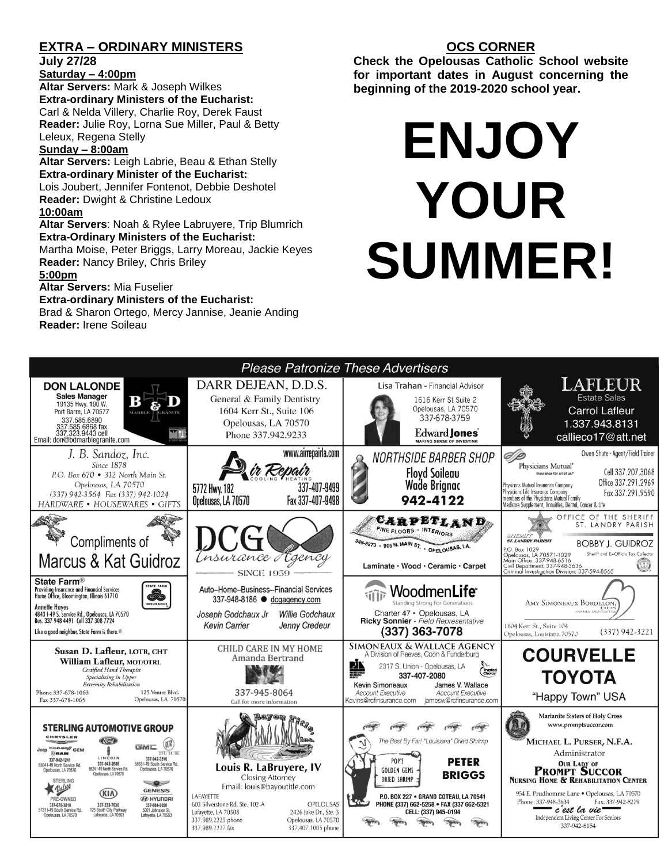# **EXTRA – ORDINARY MINISTERS**

**July 27/28**

# **Saturday – 4:00pm**

**Altar Servers:** Mark & Joseph Wilkes **Extra-ordinary Ministers of the Eucharist:**  Carl & Nelda Villery, Charlie Roy, Derek Faust **Reader:** Julie Roy, Lorna Sue Miller, Paul & Betty Leleux, Regena Stelly

#### **Sunday – 8:00am**

**Altar Servers:** Leigh Labrie, Beau & Ethan Stelly **Extra-ordinary Minister of the Eucharist:** Lois Joubert, Jennifer Fontenot, Debbie Deshotel **Reader:** Dwight & Christine Ledoux **10:00am**

**Altar Servers**: Noah & Rylee Labruyere, Trip Blumrich **Extra-Ordinary Ministers of the Eucharist:**

Martha Moise, Peter Briggs, Larry Moreau, Jackie Keyes **Reader:** Nancy Briley, Chris Briley

#### **5:00pm**

**Altar Servers:** Mia Fuselier

#### **Extra-ordinary Ministers of the Eucharist:**

Brad & Sharon Ortego, Mercy Jannise, Jeanie Anding **Reader:** Irene Soileau

# **OCS CORNER**

**Check the Opelousas Catholic School website for important dates in August concerning the beginning of the 2019-2020 school year.** 

# **ENJOY YOUR SUMMER!**